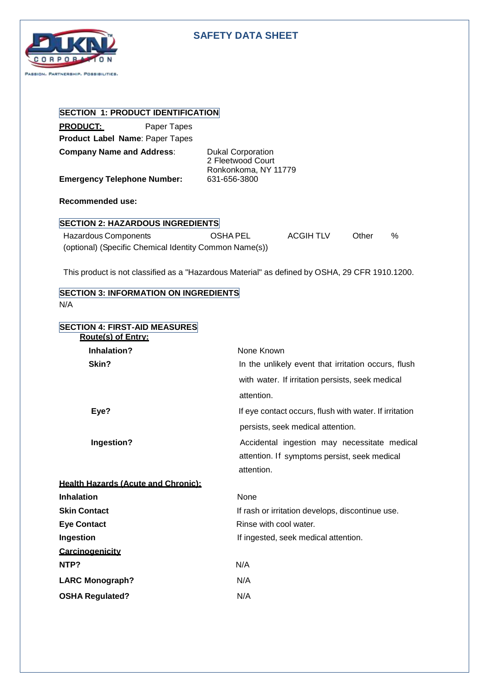

## **SAFETY DATA SHEET**

# **SECTION 1: PRODUCT IDENTIFICATION**

**PRODUCT:** Paper Tapes **Product Label Name**: Paper Tapes

**Emergency Telephone Number:** 

**Company Name and Address:** Dukal Corporation 2 Fleetwood Court Ronkonkoma, NY 11779

**Recommended use:**

### **SECTION 2: HAZARDOUS INGREDIENTS**

| Hazardous Components                                   | OSHA PEL | ACGIH TLV | Other | $\%$ |
|--------------------------------------------------------|----------|-----------|-------|------|
| (optional) (Specific Chemical Identity Common Name(s)) |          |           |       |      |

This product is not classified as a "Hazardous Material" as defined by OSHA, 29 CFR 1910.1200.

### **SECTION 3: INFORMATION ON INGREDIENTS** N/A

| <b>SECTION 4: FIRST-AID MEASURES</b><br><b>Route(s) of Entry:</b> |                                                        |
|-------------------------------------------------------------------|--------------------------------------------------------|
| Inhalation?                                                       | None Known                                             |
| Skin?                                                             | In the unlikely event that irritation occurs, flush    |
|                                                                   | with water. If irritation persists, seek medical       |
|                                                                   | attention.                                             |
| Eye?                                                              | If eye contact occurs, flush with water. If irritation |
|                                                                   | persists, seek medical attention.                      |
| Ingestion?                                                        | Accidental ingestion may necessitate medical           |
|                                                                   | attention. If symptoms persist, seek medical           |
|                                                                   | attention.                                             |
| <b>Health Hazards (Acute and Chronic):</b>                        |                                                        |
| <b>Inhalation</b>                                                 | None                                                   |
| <b>Skin Contact</b>                                               | If rash or irritation develops, discontinue use.       |
| <b>Eye Contact</b>                                                | Rinse with cool water.                                 |
| Ingestion                                                         | If ingested, seek medical attention.                   |
| Carcinogenicity                                                   |                                                        |
| NTP?                                                              | N/A                                                    |
| <b>LARC Monograph?</b>                                            | N/A                                                    |
| <b>OSHA Regulated?</b>                                            | N/A                                                    |
|                                                                   |                                                        |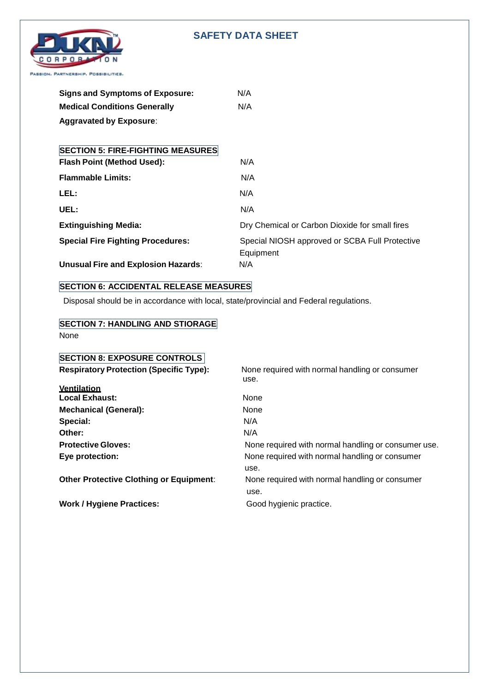## **SAFETY DATA SHEET**



| <b>Signs and Symptoms of Exposure:</b> | N/A |
|----------------------------------------|-----|
| <b>Medical Conditions Generally</b>    | N/A |
| <b>Aggravated by Exposure:</b>         |     |

| <b>SECTION 5: FIRE-FIGHTING MEASURES</b>   |                                                             |
|--------------------------------------------|-------------------------------------------------------------|
| <b>Flash Point (Method Used):</b>          | N/A                                                         |
| <b>Flammable Limits:</b>                   | N/A                                                         |
| LEL:                                       | N/A                                                         |
| UEL:                                       | N/A                                                         |
| <b>Extinguishing Media:</b>                | Dry Chemical or Carbon Dioxide for small fires              |
| <b>Special Fire Fighting Procedures:</b>   | Special NIOSH approved or SCBA Full Protective<br>Equipment |
| <b>Unusual Fire and Explosion Hazards:</b> | N/A                                                         |

# **SECTION 6: ACCIDENTAL RELEASE MEASURES**

Disposal should be in accordance with local, state/provincial and Federal regulations.

## **SECTION 7: HANDLING AND STIORAGE** None

| <b>SECTION 8: EXPOSURE CONTROLS</b>            |                                                     |
|------------------------------------------------|-----------------------------------------------------|
| <b>Respiratory Protection (Specific Type):</b> | None required with normal handling or consumer      |
|                                                | use.                                                |
| <b>Ventilation</b>                             |                                                     |
| <b>Local Exhaust:</b>                          | None                                                |
| <b>Mechanical (General):</b>                   | <b>None</b>                                         |
| Special:                                       | N/A                                                 |
| Other:                                         | N/A                                                 |
| <b>Protective Gloves:</b>                      | None required with normal handling or consumer use. |
| Eye protection:                                | None required with normal handling or consumer      |
|                                                | use.                                                |
| <b>Other Protective Clothing or Equipment:</b> | None required with normal handling or consumer      |
|                                                | use.                                                |
| <b>Work / Hygiene Practices:</b>               | Good hygienic practice.                             |